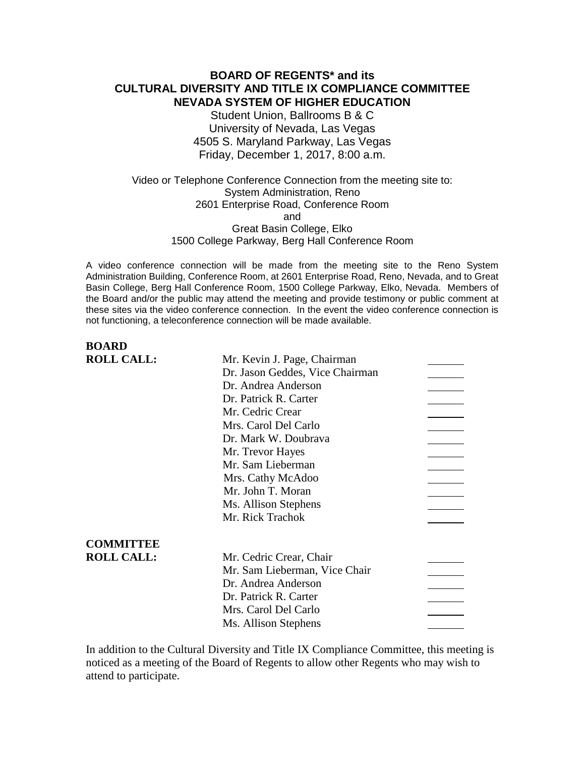### **BOARD OF REGENTS\* and its CULTURAL DIVERSITY AND TITLE IX COMPLIANCE COMMITTEE NEVADA SYSTEM OF HIGHER EDUCATION**

Student Union, Ballrooms B & C University of Nevada, Las Vegas 4505 S. Maryland Parkway, Las Vegas Friday, December 1, 2017, 8:00 a.m.

Video or Telephone Conference Connection from the meeting site to: System Administration, Reno 2601 Enterprise Road, Conference Room and Great Basin College, Elko 1500 College Parkway, Berg Hall Conference Room

A video conference connection will be made from the meeting site to the Reno System Administration Building, Conference Room, at 2601 Enterprise Road, Reno, Nevada, and to Great Basin College, Berg Hall Conference Room, 1500 College Parkway, Elko, Nevada. Members of the Board and/or the public may attend the meeting and provide testimony or public comment at these sites via the video conference connection. In the event the video conference connection is not functioning, a teleconference connection will be made available.

| <b>BOARD</b>      |                                 |  |
|-------------------|---------------------------------|--|
| <b>ROLL CALL:</b> | Mr. Kevin J. Page, Chairman     |  |
|                   | Dr. Jason Geddes, Vice Chairman |  |
|                   | Dr. Andrea Anderson             |  |
|                   | Dr. Patrick R. Carter           |  |
|                   | Mr. Cedric Crear                |  |
|                   | Mrs. Carol Del Carlo            |  |
|                   | Dr. Mark W. Doubrava            |  |
|                   | Mr. Trevor Hayes                |  |
|                   | Mr. Sam Lieberman               |  |
|                   | Mrs. Cathy McAdoo               |  |
|                   | Mr. John T. Moran               |  |
|                   | Ms. Allison Stephens            |  |
|                   | Mr. Rick Trachok                |  |
| <b>COMMITTEE</b>  |                                 |  |
| <b>ROLL CALL:</b> | Mr. Cedric Crear, Chair         |  |
|                   | Mr. Sam Lieberman, Vice Chair   |  |
|                   | Dr. Andrea Anderson             |  |
|                   | Dr. Patrick R. Carter           |  |
|                   | Mrs. Carol Del Carlo            |  |
|                   | Ms. Allison Stephens            |  |

In addition to the Cultural Diversity and Title IX Compliance Committee, this meeting is noticed as a meeting of the Board of Regents to allow other Regents who may wish to attend to participate.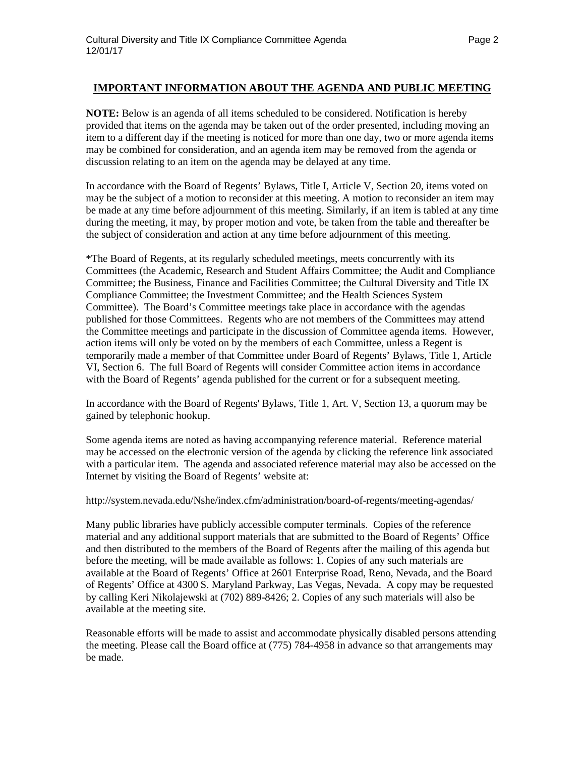### **IMPORTANT INFORMATION ABOUT THE AGENDA AND PUBLIC MEETING**

**NOTE:** Below is an agenda of all items scheduled to be considered. Notification is hereby provided that items on the agenda may be taken out of the order presented, including moving an item to a different day if the meeting is noticed for more than one day, two or more agenda items may be combined for consideration, and an agenda item may be removed from the agenda or discussion relating to an item on the agenda may be delayed at any time.

In accordance with the Board of Regents' Bylaws, Title I, Article V, Section 20, items voted on may be the subject of a motion to reconsider at this meeting. A motion to reconsider an item may be made at any time before adjournment of this meeting. Similarly, if an item is tabled at any time during the meeting, it may, by proper motion and vote, be taken from the table and thereafter be the subject of consideration and action at any time before adjournment of this meeting.

\*The Board of Regents, at its regularly scheduled meetings, meets concurrently with its Committees (the Academic, Research and Student Affairs Committee; the Audit and Compliance Committee; the Business, Finance and Facilities Committee; the Cultural Diversity and Title IX Compliance Committee; the Investment Committee; and the Health Sciences System Committee). The Board's Committee meetings take place in accordance with the agendas published for those Committees. Regents who are not members of the Committees may attend the Committee meetings and participate in the discussion of Committee agenda items. However, action items will only be voted on by the members of each Committee, unless a Regent is temporarily made a member of that Committee under Board of Regents' Bylaws, Title 1, Article VI, Section 6. The full Board of Regents will consider Committee action items in accordance with the Board of Regents' agenda published for the current or for a subsequent meeting.

In accordance with the Board of Regents' Bylaws, Title 1, Art. V, Section 13, a quorum may be gained by telephonic hookup.

Some agenda items are noted as having accompanying reference material. Reference material may be accessed on the electronic version of the agenda by clicking the reference link associated with a particular item. The agenda and associated reference material may also be accessed on the Internet by visiting the Board of Regents' website at:

http://system.nevada.edu/Nshe/index.cfm/administration/board-of-regents/meeting-agendas/

Many public libraries have publicly accessible computer terminals. Copies of the reference material and any additional support materials that are submitted to the Board of Regents' Office and then distributed to the members of the Board of Regents after the mailing of this agenda but before the meeting, will be made available as follows: 1. Copies of any such materials are available at the Board of Regents' Office at 2601 Enterprise Road, Reno, Nevada, and the Board of Regents' Office at 4300 S. Maryland Parkway, Las Vegas, Nevada. A copy may be requested by calling Keri Nikolajewski at (702) 889-8426; 2. Copies of any such materials will also be available at the meeting site.

Reasonable efforts will be made to assist and accommodate physically disabled persons attending the meeting. Please call the Board office at (775) 784-4958 in advance so that arrangements may be made.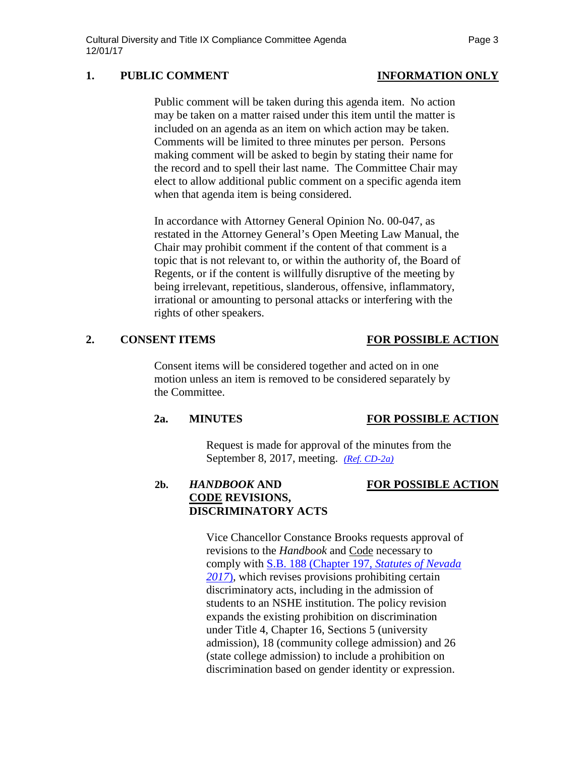## **1. PUBLIC COMMENT INFORMATION ONLY**

Public comment will be taken during this agenda item. No action may be taken on a matter raised under this item until the matter is included on an agenda as an item on which action may be taken. Comments will be limited to three minutes per person. Persons making comment will be asked to begin by stating their name for the record and to spell their last name. The Committee Chair may elect to allow additional public comment on a specific agenda item when that agenda item is being considered.

In accordance with Attorney General Opinion No. 00-047, as restated in the Attorney General's Open Meeting Law Manual, the Chair may prohibit comment if the content of that comment is a topic that is not relevant to, or within the authority of, the Board of Regents, or if the content is willfully disruptive of the meeting by being irrelevant, repetitious, slanderous, offensive, inflammatory, irrational or amounting to personal attacks or interfering with the rights of other speakers.

### **2. CONSENT ITEMS FOR POSSIBLE ACTION**

Consent items will be considered together and acted on in one motion unless an item is removed to be considered separately by the Committee.

## **2a. MINUTES FOR POSSIBLE ACTION**

Request is made for approval of the minutes from the September 8, 2017, meeting. *[\(Ref. CD-2a\)](https://nshe.nevada.edu/wp-content/uploads/file/BoardOfRegents/Agendas/2017/nov-mtgs/cd-ref/CD-2a.pdf)*

# **2b.** *HANDBOOK* **AND FOR POSSIBLE ACTION CODE REVISIONS, DISCRIMINATORY ACTS**

Vice Chancellor Constance Brooks requests approval of revisions to the *Handbook* and Code necessary to comply with S.B. 188 (Chapter 197, *[Statutes of Nevada](https://www.leg.state.nv.us/Session/79th2017/Reports/history.cfm?DocumentType=2&BillNo=188) [2017](https://www.leg.state.nv.us/Session/79th2017/Reports/history.cfm?DocumentType=2&BillNo=188)*), which revises provisions prohibiting certain discriminatory acts, including in the admission of students to an NSHE institution. The policy revision expands the existing prohibition on discrimination under Title 4, Chapter 16, Sections 5 (university admission), 18 (community college admission) and 26 (state college admission) to include a prohibition on discrimination based on gender identity or expression.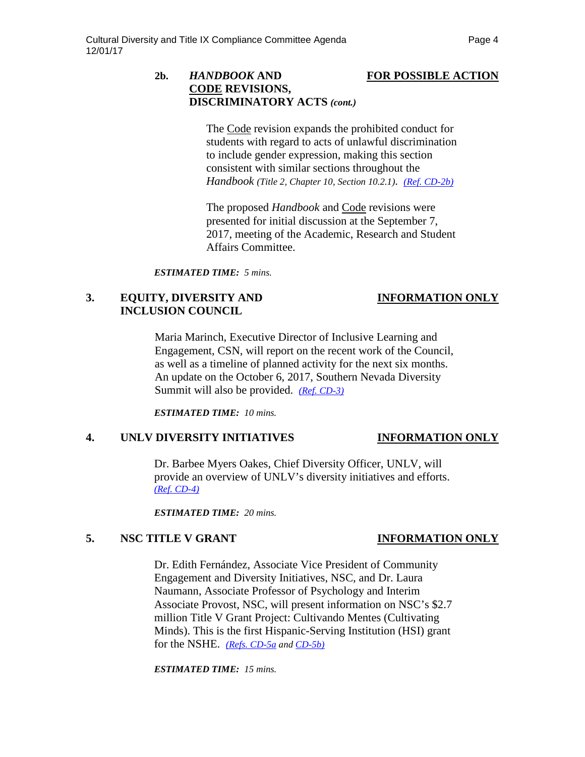## **2b.** *HANDBOOK* **AND FOR POSSIBLE ACTION CODE REVISIONS, DISCRIMINATORY ACTS** *(cont.)*

The Code revision expands the prohibited conduct for students with regard to acts of unlawful discrimination to include gender expression, making this section consistent with similar sections throughout the *Handbook (Title 2, Chapter 10, Section 10.2.1)*. *[\(Ref. CD-2b\)](https://nshe.nevada.edu/wp-content/uploads/file/BoardOfRegents/Agendas/2017/nov-mtgs/cd-ref/CD-2b.pdf)*

The proposed *Handbook* and Code revisions were presented for initial discussion at the September 7, 2017, meeting of the Academic, Research and Student Affairs Committee.

*ESTIMATED TIME: 5 mins.*

### **3. EQUITY, DIVERSITY AND INFORMATION ONLY INCLUSION COUNCIL**

Maria Marinch, Executive Director of Inclusive Learning and Engagement, CSN, will report on the recent work of the Council, as well as a timeline of planned activity for the next six months. An update on the October 6, 2017, Southern Nevada Diversity Summit will also be provided. *[\(Ref. CD-3\)](https://nshe.nevada.edu/wp-content/uploads/file/BoardOfRegents/Agendas/2017/nov-mtgs/cd-ref/CD-3.pdf)*

*ESTIMATED TIME: 10 mins.*

### **4. UNLV DIVERSITY INITIATIVES INFORMATION ONLY**

Dr. Barbee Myers Oakes, Chief Diversity Officer, UNLV, will provide an overview of UNLV's diversity initiatives and efforts. *[\(Ref. CD-4\)](https://nshe.nevada.edu/wp-content/uploads/file/BoardOfRegents/Agendas/2017/nov-mtgs/cd-ref/CD-4.pdf)*

*ESTIMATED TIME: 20 mins.*

## **5. NSC TITLE V GRANT INFORMATION ONLY**

Dr. Edith Fernández, Associate Vice President of Community Engagement and Diversity Initiatives, NSC, and Dr. Laura Naumann, Associate Professor of Psychology and Interim Associate Provost, NSC, will present information on NSC's \$2.7 million Title V Grant Project: Cultivando Mentes (Cultivating Minds). This is the first Hispanic-Serving Institution (HSI) grant for the NSHE. *[\(Refs. CD-5a](https://nshe.nevada.edu/wp-content/uploads/file/BoardOfRegents/Agendas/2017/nov-mtgs/cd-ref/CD-5a.pdf) and [CD-5b\)](https://nshe.nevada.edu/wp-content/uploads/file/BoardOfRegents/Agendas/2017/nov-mtgs/cd-ref/CD-5b.pdf)*

*ESTIMATED TIME: 15 mins.*